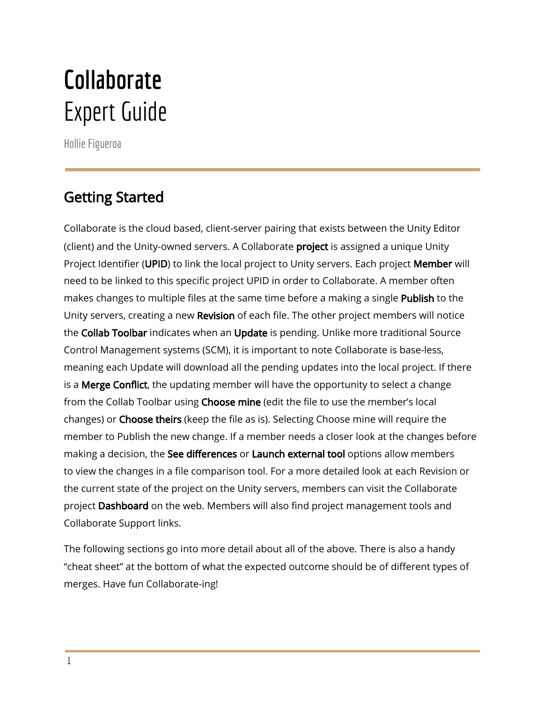# **Collaborate** Expert Guide

Hollie Figueroa

# Getting Started

Collaborate is the cloud based, client-server pairing that exists between the Unity Editor (client) and the Unity-owned servers. A Collaborate **project** is assigned a unique Unity Project Identifier (UPID) to link the local project to Unity servers. Each project Member will need to be linked to this specific project UPID in order to Collaborate. A member often makes changes to multiple files at the same time before a making a single Publish to the Unity servers, creating a new Revision of each file. The other project members will notice the Collab Toolbar indicates when an Update is pending. Unlike more traditional Source Control Management systems (SCM), it is important to note Collaborate is base-less, meaning each Update will download all the pending updates into the local project. If there is a **Merge Conflict**, the updating member will have the opportunity to select a change from the Collab Toolbar using Choose mine (edit the file to use the member's local changes) or Choose theirs (keep the file as is). Selecting Choose mine will require the member to Publish the new change. If a member needs a closer look at the changes before making a decision, the See differences or Launch external tool options allow members to view the changes in a file comparison tool. For a more detailed look at each Revision or the current state of the project on the Unity servers, members can visit the Collaborate project Dashboard on the web. Members will also find project management tools and Collaborate Support links.

The following sections go into more detail about all of the above. There is also a handy "cheat sheet" at the bottom of what the expected outcome should be of different types of merges. Have fun Collaborate-ing!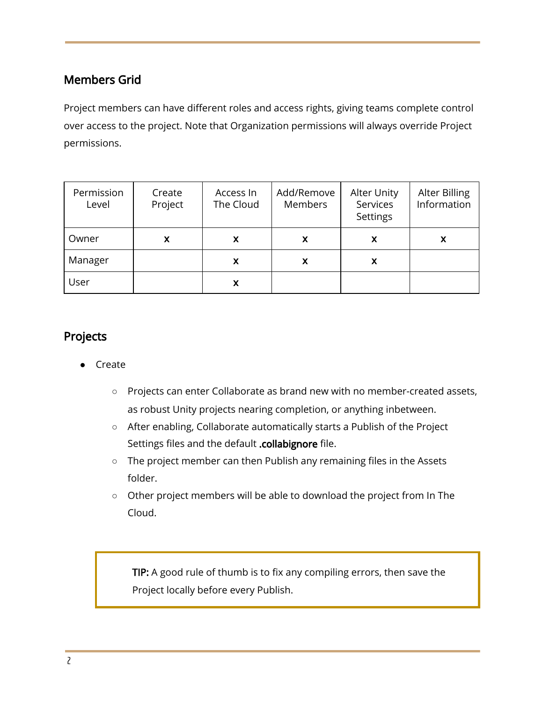### Members Grid

Project members can have different roles and access rights, giving teams complete control over access to the project. Note that Organization permissions will always override Project permissions.

| Permission<br>Level | Create<br>Project | Access In<br>The Cloud | Add/Remove<br>Members | <b>Alter Unity</b><br>Services<br><b>Settings</b> | Alter Billing<br>Information |
|---------------------|-------------------|------------------------|-----------------------|---------------------------------------------------|------------------------------|
| Owner               | X                 | X                      | X                     | X                                                 | х                            |
| Manager             |                   | X                      | X                     | X.                                                |                              |
| User                |                   | X                      |                       |                                                   |                              |

#### Projects

- **Create** 
	- Projects can enter Collaborate as brand new with no member-created assets, as robust Unity projects nearing completion, or anything inbetween.
	- After enabling, Collaborate automatically starts a Publish of the Project Settings files and the default .collabignore file.
	- The project member can then Publish any remaining files in the Assets folder.
	- Other project members will be able to download the project from In The Cloud.

TIP: A good rule of thumb is to fix any compiling errors, then save the Project locally before every Publish.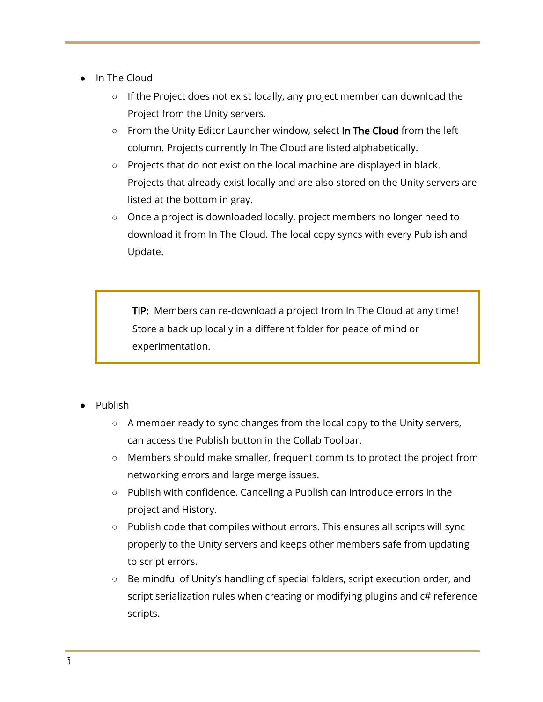- In The Cloud
	- If the Project does not exist locally, any project member can download the Project from the Unity servers.
	- From the Unity Editor Launcher window, select In The Cloud from the left column. Projects currently In The Cloud are listed alphabetically.
	- Projects that do not exist on the local machine are displayed in black. Projects that already exist locally and are also stored on the Unity servers are listed at the bottom in gray.
	- Once a project is downloaded locally, project members no longer need to download it from In The Cloud. The local copy syncs with every Publish and Update.

TIP: Members can re-download a project from In The Cloud at any time! Store a back up locally in a different folder for peace of mind or experimentation.

- Publish
	- A member ready to sync changes from the local copy to the Unity servers, can access the Publish button in the Collab Toolbar.
	- Members should make smaller, frequent commits to protect the project from networking errors and large merge issues.
	- Publish with confidence. Canceling a Publish can introduce errors in the project and History.
	- Publish code that compiles without errors. This ensures all scripts will sync properly to the Unity servers and keeps other members safe from updating to script errors.
	- Be mindful of Unity's handling of special folders, script execution order, and script serialization rules when creating or modifying plugins and c# reference scripts.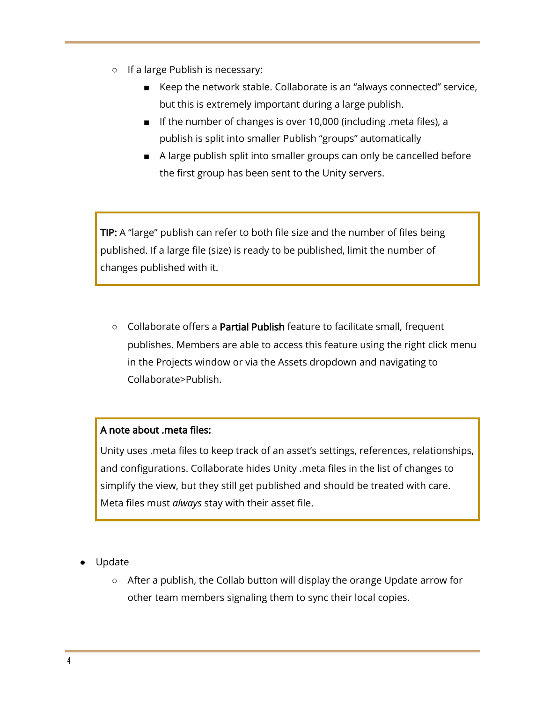- If a large Publish is necessary:
	- Keep the network stable. Collaborate is an "always connected" service, but this is extremely important during a large publish.
	- If the number of changes is over 10,000 (including .meta files), a publish is split into smaller Publish "groups" automatically
	- A large publish split into smaller groups can only be cancelled before the first group has been sent to the Unity servers.

TIP: A "large" publish can refer to both file size and the number of files being published. If a large file (size) is ready to be published, limit the number of changes published with it.

○ Collaborate offers a Partial Publish feature to facilitate small, frequent publishes. Members are able to access this feature using the right click menu in the Projects window or via the Assets dropdown and navigating to Collaborate>Publish.

#### A note about .meta files:

Unity uses .meta files to keep track of an asset's settings, references, relationships, and configurations. Collaborate hides Unity .meta files in the list of changes to simplify the view, but they still get published and should be treated with care. Meta files must *always* stay with their asset file.

- Update
	- After a publish, the Collab button will display the orange Update arrow for other team members signaling them to sync their local copies.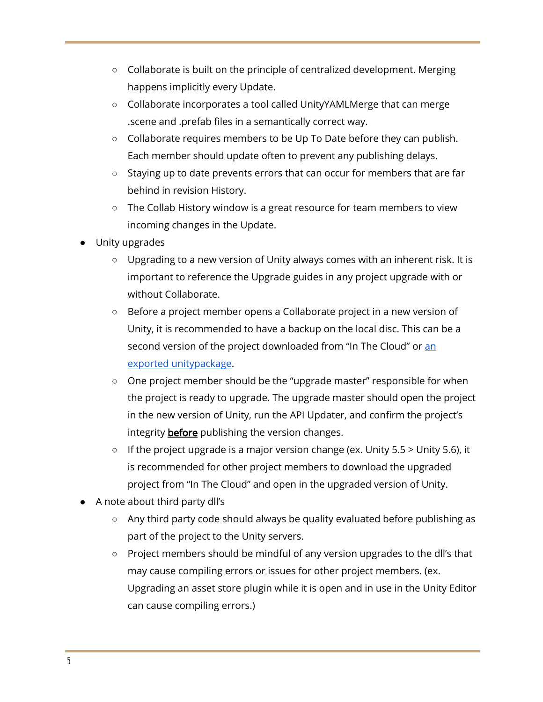- Collaborate is built on the principle of centralized development. Merging happens implicitly every Update.
- Collaborate incorporates a tool called UnityYAMLMerge that can merge .scene and .prefab files in a semantically correct way.
- Collaborate requires members to be Up To Date before they can publish. Each member should update often to prevent any publishing delays.
- Staying up to date prevents errors that can occur for members that are far behind in revision History.
- The Collab History window is a great resource for team members to view incoming changes in the Update.
- Unity upgrades
	- Upgrading to a new version of Unity always comes with an inherent risk. It is important to reference the Upgrade guides in any project upgrade with or without Collaborate.
	- Before a project member opens a Collaborate project in a new version of Unity, it is recommended to have a backup on the local disc. This can be a second version of the project downloaded from "In The Cloud" or [an](https://docs.unity3d.com/2017.1/Documentation/Manual/HOWTO-exportpackage.html) exported [unitypackage.](https://docs.unity3d.com/2017.1/Documentation/Manual/HOWTO-exportpackage.html)
	- One project member should be the "upgrade master" responsible for when the project is ready to upgrade. The upgrade master should open the project in the new version of Unity, run the API Updater, and confirm the project's integrity **before** publishing the version changes.
	- $\circ$  If the project upgrade is a major version change (ex. Unity 5.5 > Unity 5.6), it is recommended for other project members to download the upgraded project from "In The Cloud" and open in the upgraded version of Unity.
- A note about third party dll's
	- Any third party code should always be quality evaluated before publishing as part of the project to the Unity servers.
	- Project members should be mindful of any version upgrades to the dll's that may cause compiling errors or issues for other project members. (ex. Upgrading an asset store plugin while it is open and in use in the Unity Editor can cause compiling errors.)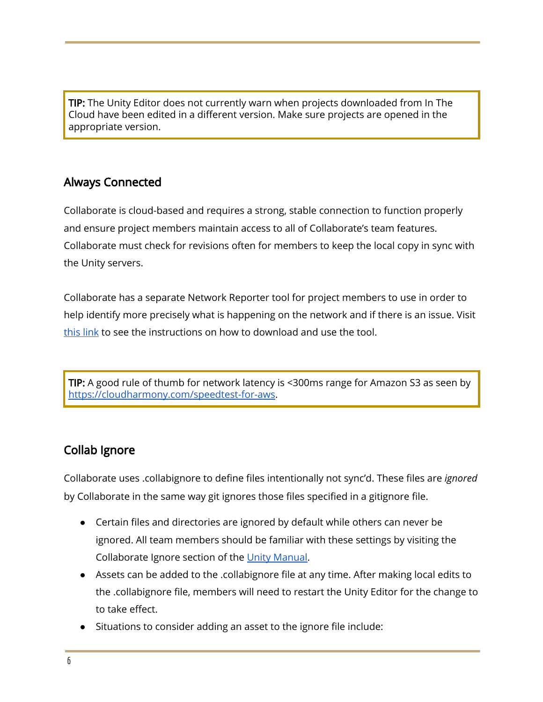TIP: The Unity Editor does not currently warn when projects downloaded from In The Cloud have been edited in a different version. Make sure projects are opened in the appropriate version.

## Always Connected

Collaborate is cloud-based and requires a strong, stable connection to function properly and ensure project members maintain access to all of Collaborate's team features. Collaborate must check for revisions often for members to keep the local copy in sync with the Unity servers.

Collaborate has a separate Network Reporter tool for project members to use in order to help identify more precisely what is happening on the network and if there is an issue. Visit [this](http://public.cloud.unity3d.com/network_reporter/) link to see the instructions on how to download and use the tool.

TIP: A good rule of thumb for network latency is <300ms range for Amazon S3 as seen by <https://cloudharmony.com/speedtest-for-aws>.

### Collab Ignore

Collaborate uses .collabignore to define files intentionally not sync'd. These files are *ignored* by Collaborate in the same way git ignores those files specified in a gitignore file.

- Certain files and directories are ignored by default while others can never be ignored. All team members should be familiar with these settings by visiting the Collaborate Ignore section of the Unity [Manual.](https://docs.unity3d.com/2017.1/Documentation/Manual/UnityCollaborateIgnoreFiles.html)
- Assets can be added to the .collabignore file at any time. After making local edits to the .collabignore file, members will need to restart the Unity Editor for the change to to take effect.
- Situations to consider adding an asset to the ignore file include: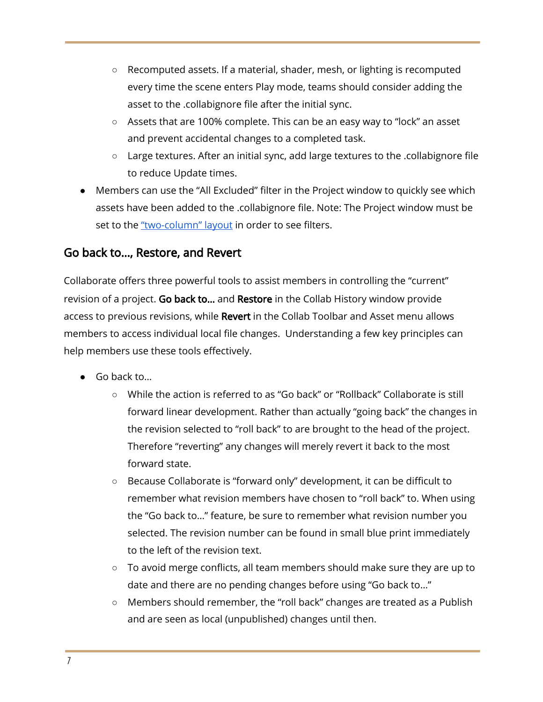- Recomputed assets. If a material, shader, mesh, or lighting is recomputed every time the scene enters Play mode, teams should consider adding the asset to the .collabignore file after the initial sync.
- Assets that are 100% complete. This can be an easy way to "lock" an asset and prevent accidental changes to a completed task.
- Large textures. After an initial sync, add large textures to the .collabignore file to reduce Update times.
- Members can use the "All Excluded" filter in the Project window to quickly see which assets have been added to the .collabignore file. Note: The Project window must be set to the ["two-column"](https://docs.unity3d.com/2017.1/Documentation/Manual/ProjectView.html) layout in order to see filters.

#### Go back to…, Restore, and Revert

Collaborate offers three powerful tools to assist members in controlling the "current" revision of a project. Go back to... and Restore in the Collab History window provide access to previous revisions, while Revert in the Collab Toolbar and Asset menu allows members to access individual local file changes. Understanding a few key principles can help members use these tools effectively.

- Go back to...
	- While the action is referred to as "Go back" or "Rollback" Collaborate is still forward linear development. Rather than actually "going back" the changes in the revision selected to "roll back" to are brought to the head of the project. Therefore "reverting" any changes will merely revert it back to the most forward state.
	- Because Collaborate is "forward only" development, it can be difficult to remember what revision members have chosen to "roll back" to. When using the "Go back to…" feature, be sure to remember what revision number you selected. The revision number can be found in small blue print immediately to the left of the revision text.
	- To avoid merge conflicts, all team members should make sure they are up to date and there are no pending changes before using "Go back to…"
	- Members should remember, the "roll back" changes are treated as a Publish and are seen as local (unpublished) changes until then.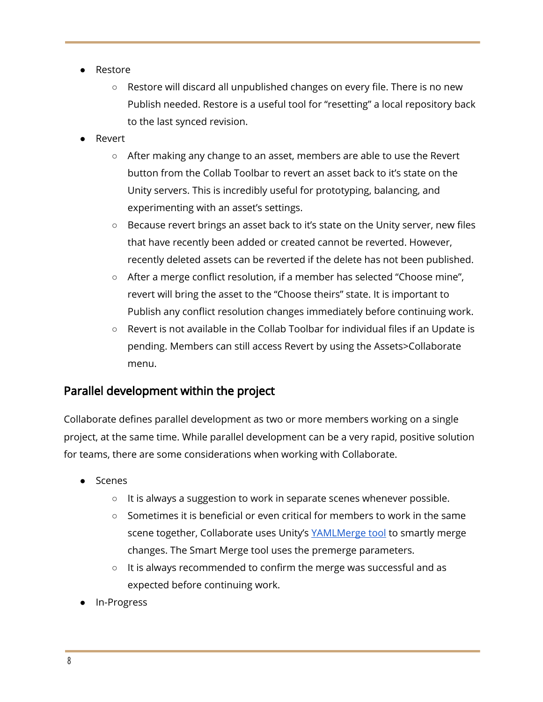- Restore
	- Restore will discard all unpublished changes on every file. There is no new Publish needed. Restore is a useful tool for "resetting" a local repository back to the last synced revision.
- **Revert** 
	- After making any change to an asset, members are able to use the Revert button from the Collab Toolbar to revert an asset back to it's state on the Unity servers. This is incredibly useful for prototyping, balancing, and experimenting with an asset's settings.
	- Because revert brings an asset back to it's state on the Unity server, new files that have recently been added or created cannot be reverted. However, recently deleted assets can be reverted if the delete has not been published.
	- After a merge conflict resolution, if a member has selected "Choose mine", revert will bring the asset to the "Choose theirs" state. It is important to Publish any conflict resolution changes immediately before continuing work.
	- Revert is not available in the Collab Toolbar for individual files if an Update is pending. Members can still access Revert by using the Assets>Collaborate menu.

### Parallel development within the project

Collaborate defines parallel development as two or more members working on a single project, at the same time. While parallel development can be a very rapid, positive solution for teams, there are some considerations when working with Collaborate.

- Scenes
	- $\circ$  It is always a suggestion to work in separate scenes whenever possible.
	- Sometimes it is beneficial or even critical for members to work in the same scene together, Collaborate uses Unity's [YAMLMerge](https://docs.unity3d.com/Manual/SmartMerge.html) tool to smartly merge changes. The Smart Merge tool uses the premerge parameters.
	- It is always recommended to confirm the merge was successful and as expected before continuing work.
- In-Progress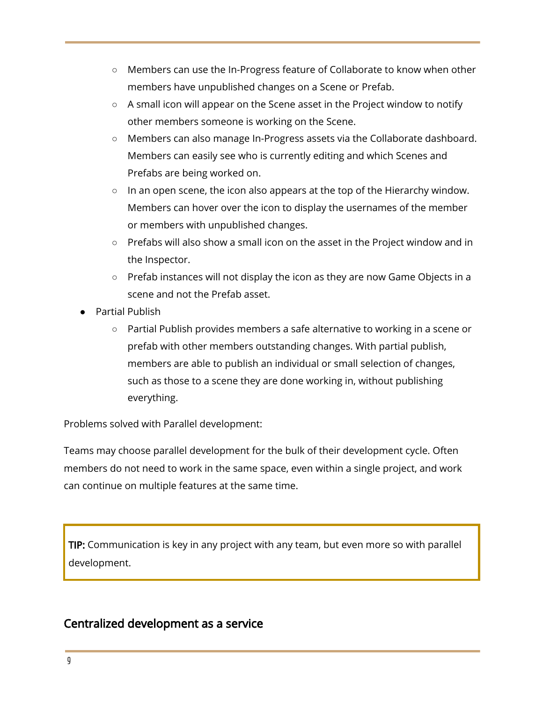- Members can use the In-Progress feature of Collaborate to know when other members have unpublished changes on a Scene or Prefab.
- A small icon will appear on the Scene asset in the Project window to notify other members someone is working on the Scene.
- Members can also manage In-Progress assets via the Collaborate dashboard. Members can easily see who is currently editing and which Scenes and Prefabs are being worked on.
- In an open scene, the icon also appears at the top of the Hierarchy window. Members can hover over the icon to display the usernames of the member or members with unpublished changes.
- Prefabs will also show a small icon on the asset in the Project window and in the Inspector.
- Prefab instances will not display the icon as they are now Game Objects in a scene and not the Prefab asset.
- Partial Publish
	- Partial Publish provides members a safe alternative to working in a scene or prefab with other members outstanding changes. With partial publish, members are able to publish an individual or small selection of changes, such as those to a scene they are done working in, without publishing everything.

Problems solved with Parallel development:

Teams may choose parallel development for the bulk of their development cycle. Often members do not need to work in the same space, even within a single project, and work can continue on multiple features at the same time.

TIP: Communication is key in any project with any team, but even more so with parallel development.

#### Centralized development as a service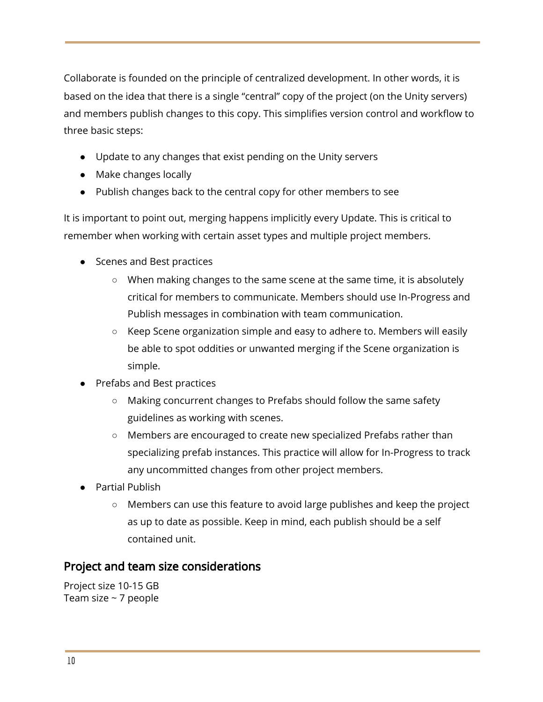Collaborate is founded on the principle of centralized development. In other words, it is based on the idea that there is a single "central" copy of the project (on the Unity servers) and members publish changes to this copy. This simplifies version control and workflow to three basic steps:

- Update to any changes that exist pending on the Unity servers
- Make changes locally
- Publish changes back to the central copy for other members to see

It is important to point out, merging happens implicitly every Update. This is critical to remember when working with certain asset types and multiple project members.

- Scenes and Best practices
	- When making changes to the same scene at the same time, it is absolutely critical for members to communicate. Members should use In-Progress and Publish messages in combination with team communication.
	- Keep Scene organization simple and easy to adhere to. Members will easily be able to spot oddities or unwanted merging if the Scene organization is simple.
- Prefabs and Best practices
	- Making concurrent changes to Prefabs should follow the same safety guidelines as working with scenes.
	- Members are encouraged to create new specialized Prefabs rather than specializing prefab instances. This practice will allow for In-Progress to track any uncommitted changes from other project members.
- **Partial Publish** 
	- Members can use this feature to avoid large publishes and keep the project as up to date as possible. Keep in mind, each publish should be a self contained unit.

### Project and team size considerations

Project size 10-15 GB Team size  $\sim$  7 people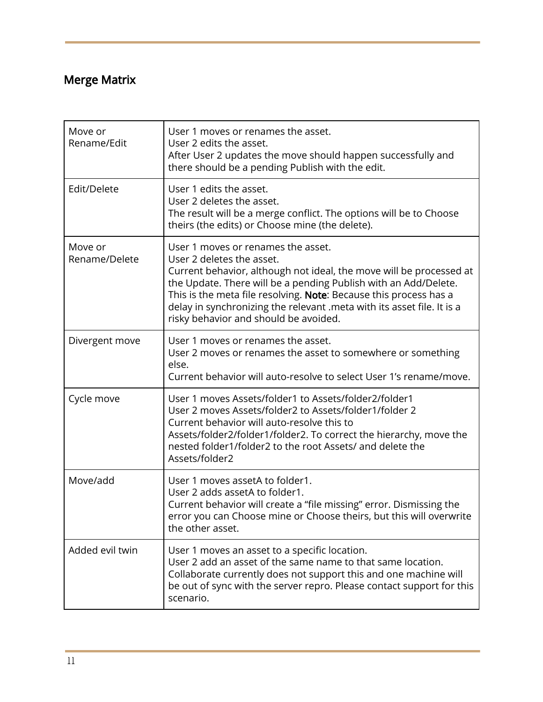# Merge Matrix

| Move or<br>Rename/Edit   | User 1 moves or renames the asset.<br>User 2 edits the asset.<br>After User 2 updates the move should happen successfully and<br>there should be a pending Publish with the edit.                                                                                                                                                                                                                 |
|--------------------------|---------------------------------------------------------------------------------------------------------------------------------------------------------------------------------------------------------------------------------------------------------------------------------------------------------------------------------------------------------------------------------------------------|
| Edit/Delete              | User 1 edits the asset.<br>User 2 deletes the asset.<br>The result will be a merge conflict. The options will be to Choose<br>theirs (the edits) or Choose mine (the delete).                                                                                                                                                                                                                     |
| Move or<br>Rename/Delete | User 1 moves or renames the asset.<br>User 2 deletes the asset.<br>Current behavior, although not ideal, the move will be processed at<br>the Update. There will be a pending Publish with an Add/Delete.<br>This is the meta file resolving. Note: Because this process has a<br>delay in synchronizing the relevant .meta with its asset file. It is a<br>risky behavior and should be avoided. |
| Divergent move           | User 1 moves or renames the asset.<br>User 2 moves or renames the asset to somewhere or something<br>else.<br>Current behavior will auto-resolve to select User 1's rename/move.                                                                                                                                                                                                                  |
| Cycle move               | User 1 moves Assets/folder1 to Assets/folder2/folder1<br>User 2 moves Assets/folder2 to Assets/folder1/folder 2<br>Current behavior will auto-resolve this to<br>Assets/folder2/folder1/folder2. To correct the hierarchy, move the<br>nested folder1/folder2 to the root Assets/ and delete the<br>Assets/folder2                                                                                |
| Move/add                 | User 1 moves assetA to folder1.<br>User 2 adds assetA to folder1.<br>Current behavior will create a "file missing" error. Dismissing the<br>error you can Choose mine or Choose theirs, but this will overwrite<br>the other asset.                                                                                                                                                               |
| Added evil twin          | User 1 moves an asset to a specific location.<br>User 2 add an asset of the same name to that same location.<br>Collaborate currently does not support this and one machine will<br>be out of sync with the server repro. Please contact support for this<br>scenario.                                                                                                                            |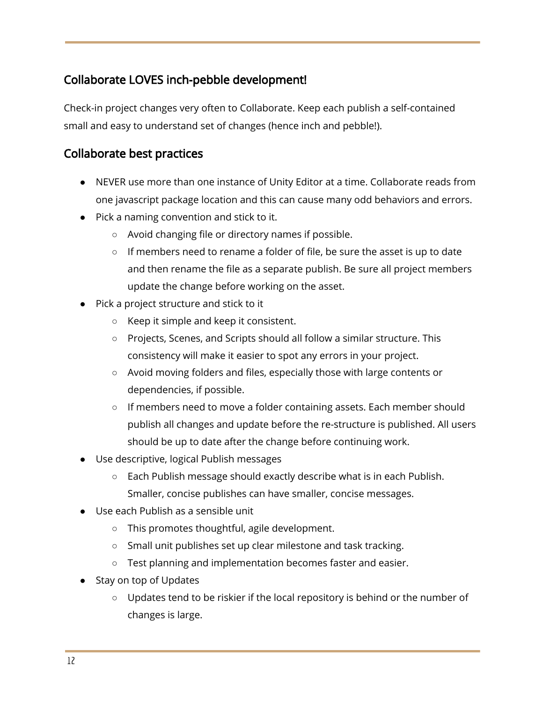### Collaborate LOVES inch-pebble development!

Check-in project changes very often to Collaborate. Keep each publish a self-contained small and easy to understand set of changes (hence inch and pebble!).

#### Collaborate best practices

- NEVER use more than one instance of Unity Editor at a time. Collaborate reads from one javascript package location and this can cause many odd behaviors and errors.
- Pick a naming convention and stick to it.
	- Avoid changing file or directory names if possible.
	- If members need to rename a folder of file, be sure the asset is up to date and then rename the file as a separate publish. Be sure all project members update the change before working on the asset.
- Pick a project structure and stick to it
	- Keep it simple and keep it consistent.
	- Projects, Scenes, and Scripts should all follow a similar structure. This consistency will make it easier to spot any errors in your project.
	- Avoid moving folders and files, especially those with large contents or dependencies, if possible.
	- If members need to move a folder containing assets. Each member should publish all changes and update before the re-structure is published. All users should be up to date after the change before continuing work.
- Use descriptive, logical Publish messages
	- $\circ$  Each Publish message should exactly describe what is in each Publish. Smaller, concise publishes can have smaller, concise messages.
- Use each Publish as a sensible unit
	- This promotes thoughtful, agile development.
	- Small unit publishes set up clear milestone and task tracking.
	- Test planning and implementation becomes faster and easier.
- Stay on top of Updates
	- Updates tend to be riskier if the local repository is behind or the number of changes is large.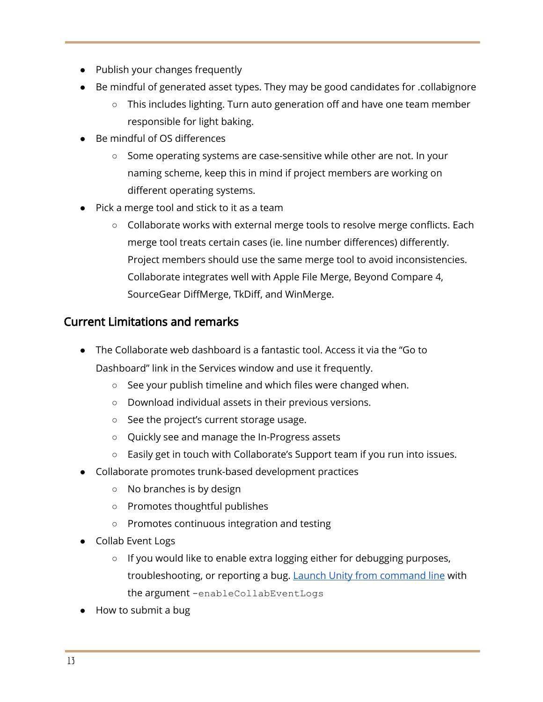- Publish your changes frequently
- Be mindful of generated asset types. They may be good candidates for .collabignore
	- This includes lighting. Turn auto generation off and have one team member responsible for light baking.
- Be mindful of OS differences
	- Some operating systems are case-sensitive while other are not. In your naming scheme, keep this in mind if project members are working on different operating systems.
- Pick a merge tool and stick to it as a team
	- Collaborate works with external merge tools to resolve merge conflicts. Each merge tool treats certain cases (ie. line number differences) differently. Project members should use the same merge tool to avoid inconsistencies. Collaborate integrates well with Apple File Merge, Beyond Compare 4, SourceGear DiffMerge, TkDiff, and WinMerge.

## Current Limitations and remarks

- The Collaborate web dashboard is a fantastic tool. Access it via the "Go to Dashboard" link in the Services window and use it frequently.
	- See your publish timeline and which files were changed when.
	- Download individual assets in their previous versions.
	- See the project's current storage usage.
	- Quickly see and manage the In-Progress assets
	- Easily get in touch with Collaborate's Support team if you run into issues.
- Collaborate promotes trunk-based development practices
	- No branches is by design
	- Promotes thoughtful publishes
	- Promotes continuous integration and testing
- Collab Event Logs
	- If you would like to enable extra logging either for debugging purposes, troubleshooting, or reporting a bug. **Launch Unity from [command](https://docs.unity3d.com/Manual/CommandLineArguments.html) line** with the argument -enableCollabEventLogs
- How to submit a bug